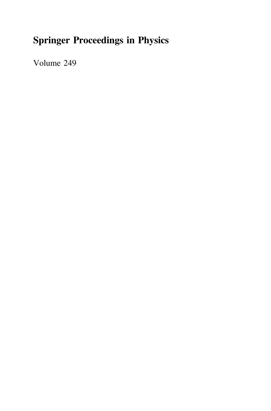## Springer Proceedings in Physics

Volume 249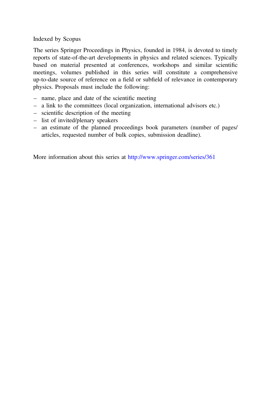#### Indexed by Scopus

The series Springer Proceedings in Physics, founded in 1984, is devoted to timely reports of state-of-the-art developments in physics and related sciences. Typically based on material presented at conferences, workshops and similar scientific meetings, volumes published in this series will constitute a comprehensive up-to-date source of reference on a field or subfield of relevance in contemporary physics. Proposals must include the following:

- name, place and date of the scientific meeting
- a link to the committees (local organization, international advisors etc.)
- scientific description of the meeting
- list of invited/plenary speakers
- an estimate of the planned proceedings book parameters (number of pages/ articles, requested number of bulk copies, submission deadline).

More information about this series at <http://www.springer.com/series/361>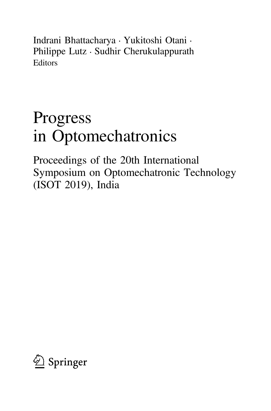Indrani Bhattacharya • Yukitoshi Otani • Philippe Lutz • Sudhir Cherukulappurath Editors

# Progress in Optomechatronics

Proceedings of the 20th International Symposium on Optomechatronic Technology (ISOT 2019), India

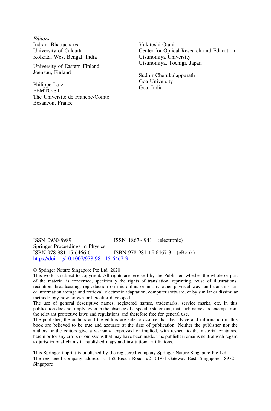**Editors** Indrani Bhattacharya University of Calcutta Kolkata, West Bengal, India

University of Eastern Finland Joensuu, Finland

Philippe Lutz FEMTO-ST The Université de Franche-Comté Besancon, France

Yukitoshi Otani Center for Optical Research and Education Utsunomiya University Utsunomiya, Tochigi, Japan

Sudhir Cherukulappurath Goa University Goa, India

ISSN 0930-8989 ISSN 1867-4941 (electronic) Springer Proceedings in Physics<br>ISBN 978-981-15-6466-6 ISBN 978-981-15-6467-3 (eBook) <https://doi.org/10.1007/978-981-15-6467-3>

#### © Springer Nature Singapore Pte Ltd. 2020

This work is subject to copyright. All rights are reserved by the Publisher, whether the whole or part of the material is concerned, specifically the rights of translation, reprinting, reuse of illustrations, recitation, broadcasting, reproduction on microfilms or in any other physical way, and transmission or information storage and retrieval, electronic adaptation, computer software, or by similar or dissimilar methodology now known or hereafter developed.

The use of general descriptive names, registered names, trademarks, service marks, etc. in this publication does not imply, even in the absence of a specific statement, that such names are exempt from the relevant protective laws and regulations and therefore free for general use.

The publisher, the authors and the editors are safe to assume that the advice and information in this book are believed to be true and accurate at the date of publication. Neither the publisher nor the authors or the editors give a warranty, expressed or implied, with respect to the material contained herein or for any errors or omissions that may have been made. The publisher remains neutral with regard to jurisdictional claims in published maps and institutional affiliations.

This Springer imprint is published by the registered company Springer Nature Singapore Pte Ltd. The registered company address is: 152 Beach Road, #21-01/04 Gateway East, Singapore 189721, Singapore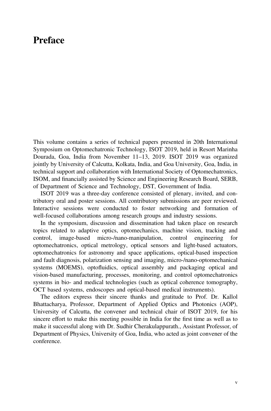## Preface

This volume contains a series of technical papers presented in 20th International Symposium on Optomechatronic Technology, ISOT 2019, held in Resort Marinha Dourada, Goa, India from November 11–13, 2019. ISOT 2019 was organized jointly by University of Calcutta, Kolkata, India, and Goa University, Goa, India, in technical support and collaboration with International Society of Optomechatronics, ISOM, and financially assisted by Science and Engineering Research Board, SERB, of Department of Science and Technology, DST, Government of India.

ISOT 2019 was a three-day conference consisted of plenary, invited, and contributory oral and poster sessions. All contributory submissions are peer reviewed. Interactive sessions were conducted to foster networking and formation of well-focused collaborations among research groups and industry sessions.

In the symposium, discussion and dissemination had taken place on research topics related to adaptive optics, optomechanics, machine vision, tracking and control, image-based micro-/nano-manipulation, control engineering for optomechatronics, optical metrology, optical sensors and light-based actuators, optomechatronics for astronomy and space applications, optical-based inspection and fault diagnosis, polarization sensing and imaging, micro-/nano-optomechanical systems (MOEMS), optofluidics, optical assembly and packaging optical and vision-based manufacturing, processes, monitoring, and control optomechatronics systems in bio- and medical technologies (such as optical coherence tomography, OCT based systems, endoscopes and optical-based medical instruments).

The editors express their sincere thanks and gratitude to Prof. Dr. Kallol Bhattacharya, Professor, Department of Applied Optics and Photonics (AOP), University of Calcutta, the convener and technical chair of ISOT 2019, for his sincere effort to make this meeting possible in India for the first time as well as to make it successful along with Dr. Sudhir Cherakulappurath., Assistant Professor, of Department of Physics, University of Goa, India, who acted as joint convener of the conference.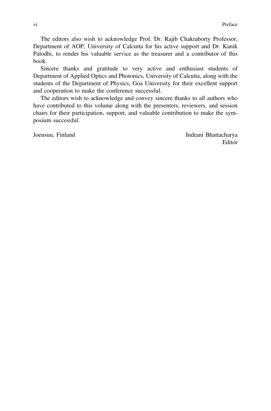The editors also wish to acknowledge Prof. Dr. Rajib Chakraborty Professor, Department of AOP, University of Calcutta for his active support and Dr. Kanik Palodhi, to render his valuable service as the treasurer and a contributor of this book.

Sincere thanks and gratitude to very active and enthusiast students of Department of Applied Optics and Photonics, University of Calcutta, along with the students of the Department of Physics, Goa University for their excellent support and cooperation to make the conference successful.

The editors wish to acknowledge and convey sincere thanks to all authors who have contributed to this volume along with the presenters, reviewers, and session chairs for their participation, support, and valuable contribution to make the symposium successful.

Joensuu, Finland Indrani Bhattacharya Editor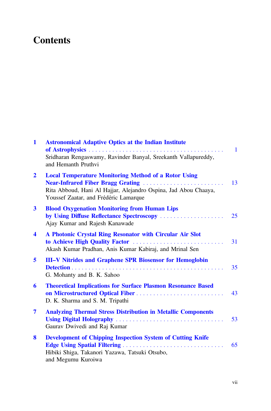## **Contents**

| $\mathbf{1}$         | <b>Astronomical Adaptive Optics at the Indian Institute</b><br>Sridharan Rengaswamy, Ravinder Banyal, Sreekanth Vallapureddy,                                                                                | $\mathbf{1}$ |
|----------------------|--------------------------------------------------------------------------------------------------------------------------------------------------------------------------------------------------------------|--------------|
|                      | and Hemanth Pruthvi                                                                                                                                                                                          |              |
| $\overline{2}$       | <b>Local Temperature Monitoring Method of a Rotor Using</b><br>Near-Infrared Fiber Bragg Grating<br>Rita Abboud, Hani Al Hajjar, Alejandro Ospina, Jad Abou Chaaya,<br>Youssef Zaatar, and Frédéric Lamarque | 13           |
| $\mathbf{3}$         | <b>Blood Oxygenation Monitoring from Human Lips</b><br>by Using Diffuse Reflectance Spectroscopy<br>Ajay Kumar and Rajesh Kanawade                                                                           | 25           |
| $\blacktriangleleft$ | A Photonic Crystal Ring Resonator with Circular Air Slot<br>to Achieve High Quality Factor<br>Akash Kumar Pradhan, Anis Kumar Kabiraj, and Mrinal Sen                                                        | 31           |
| 5                    | <b>III–V Nitrides and Graphene SPR Biosensor for Hemoglobin</b><br>G. Mohanty and B. K. Sahoo                                                                                                                | 35           |
| 6                    | <b>Theoretical Implications for Surface Plasmon Resonance Based</b><br>D. K. Sharma and S. M. Tripathi                                                                                                       | 43           |
| 7                    | <b>Analyzing Thermal Stress Distribution in Metallic Components</b><br>Gaurav Dwivedi and Raj Kumar                                                                                                          | 53           |
| 8                    | <b>Development of Chipping Inspection System of Cutting Knife</b><br>Hibiki Shiga, Takanori Yazawa, Tatsuki Otsubo,<br>and Megumu Kuroiwa                                                                    | 65           |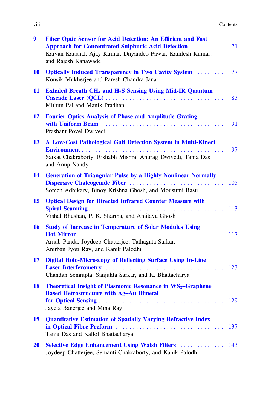| .<br><b>V111</b> | Contents |
|------------------|----------|
|------------------|----------|

| 9         | Fiber Optic Sensor for Acid Detection: An Efficient and Fast<br><b>Approach for Concentrated Sulphuric Acid Detection </b><br>Karvan Kaushal, Ajay Kumar, Dnyandeo Pawar, Kamlesh Kumar,<br>and Rajesh Kanawade | 71  |
|-----------|-----------------------------------------------------------------------------------------------------------------------------------------------------------------------------------------------------------------|-----|
| <b>10</b> | <b>Optically Induced Transparency in Two Cavity System </b><br>Kousik Mukherjee and Paresh Chandra Jana                                                                                                         | 77  |
| 11        | <b>Exhaled Breath CH<sub>4</sub> and H<sub>2</sub>S Sensing Using Mid-IR Quantum</b><br>Mithun Pal and Manik Pradhan                                                                                            | 83  |
| 12        | <b>Fourier Optics Analysis of Phase and Amplitude Grating</b><br>Prashant Povel Dwivedi                                                                                                                         | 91  |
| 13        | A Low-Cost Pathological Gait Detection System in Multi-Kinect                                                                                                                                                   |     |
|           | Saikat Chakraborty, Rishabh Mishra, Anurag Dwivedi, Tania Das,<br>and Anup Nandy                                                                                                                                | 97  |
| 14        | <b>Generation of Triangular Pulse by a Highly Nonlinear Normally</b><br>Somen Adhikary, Binoy Krishna Ghosh, and Mousumi Basu                                                                                   | 105 |
| 15        | <b>Optical Design for Directed Infrared Counter Measure with</b><br>Vishal Bhushan, P. K. Sharma, and Amitava Ghosh                                                                                             | 113 |
| 16        | <b>Study of Increase in Temperature of Solar Modules Using</b><br>Arnab Panda, Joydeep Chatterjee, Tathagata Sarkar,<br>Anirban Jyoti Ray, and Kanik Palodhi                                                    | 117 |
| 17        | <b>Digital Holo-Microscopy of Reflecting Surface Using In-Line</b><br>Chandan Sengupta, Sanjukta Sarkar, and K. Bhattacharya                                                                                    | 123 |
| 18        | <b>Theoretical Insight of Plasmonic Resonance in <math>WS_2</math>-Graphene</b><br><b>Based Hetrostructure with Ag-Au Bimetal</b><br>Jayeta Banerjee and Mina Ray                                               | 129 |
| 19        | <b>Quantitative Estimation of Spatially Varying Refractive Index</b><br>Tania Das and Kallol Bhattacharya                                                                                                       | 137 |
| <b>20</b> | <b>Selective Edge Enhancement Using Walsh Filters</b><br>Joydeep Chatterjee, Semanti Chakraborty, and Kanik Palodhi                                                                                             | 143 |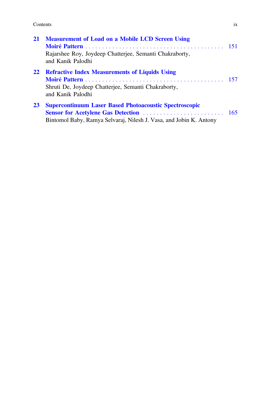Contents ix

| 21        | <b>Measurement of Load on a Mobile LCD Screen Using</b>                                                                             |  |
|-----------|-------------------------------------------------------------------------------------------------------------------------------------|--|
|           | Rajarshee Roy, Joydeep Chatterjee, Semanti Chakraborty,<br>and Kanik Palodhi                                                        |  |
| 22        | <b>Refractive Index Measurements of Liquids Using</b><br>Shruti De, Joydeep Chatterjee, Semanti Chakraborty,<br>and Kanik Palodhi   |  |
| <b>23</b> | <b>Supercontinuum Laser Based Photoacoustic Spectroscopic</b><br>Bintomol Baby, Ramya Selvaraj, Nilesh J. Vasa, and Jobin K. Antony |  |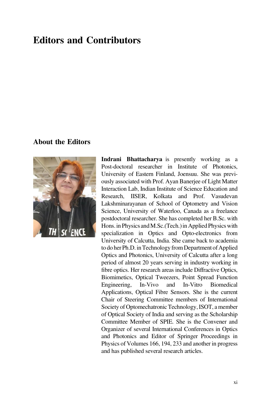## Editors and Contributors

#### About the Editors



Indrani Bhattacharya is presently working as a Post-doctoral researcher in Institute of Photonics, University of Eastern Finland, Joensuu. She was previously associated with Prof. Ayan Banerjee of Light Matter Interaction Lab, Indian Institute of Science Education and Research, IISER, Kolkata and Prof. Vasudevan Lakshminarayanan of School of Optometry and Vision Science, University of Waterloo, Canada as a freelance postdoctoral researcher. She has completed her B.Sc. with Hons. in Physics and M.Sc. (Tech.) in Applied Physics with specialization in Optics and Opto-electronics from University of Calcutta, India. She came back to academia to do her Ph.D. in Technology from Department of Applied Optics and Photonics, University of Calcutta after a long period of almost 20 years serving in industry working in fibre optics. Her research areas include Diffractive Optics, Biomimetics, Optical Tweezers, Point Spread Function Engineering, In-Vivo and In-Vitro Biomedical Applications, Optical Fibre Sensors. She is the current Chair of Steering Committee members of International Society of Optomechatronic Technology, ISOT, a member of Optical Society of India and serving as the Scholarship Committee Member of SPIE. She is the Convener and Organizer of several International Conferences in Optics and Photonics and Editor of Springer Proceedings in Physics of Volumes 166, 194, 233 and another in progress and has published several research articles.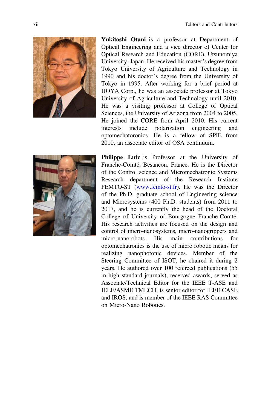

Yukitoshi Otani is a professor at Department of Optical Engineering and a vice director of Center for Optical Research and Education (CORE), Utsunomiya University, Japan. He received his master's degree from Tokyo University of Agriculture and Technology in 1990 and his doctor's degree from the University of Tokyo in 1995. After working for a brief period at HOYA Corp., he was an associate professor at Tokyo University of Agriculture and Technology until 2010. He was a visiting professor at College of Optical Sciences, the University of Arizona from 2004 to 2005. He joined the CORE from April 2010. His current interests include polarization engineering and optomechatoronics. He is a fellow of SPIE from 2010, an associate editor of OSA continuum.



Philippe Lutz is Professor at the University of Franche-Comté, Besancon, France. He is the Director of the Control science and Micromechatronic Systems Research department of the Research Institute FEMTO-ST [\(www.femto-st.fr\)](http://www.femto-st.fr). He was the Director of the Ph.D. graduate school of Engineering science and Microsystems (400 Ph.D. students) from 2011 to 2017, and he is currently the head of the Doctoral College of University of Bourgogne Franche-Comté. His research activities are focused on the design and control of micro-nanosystems, micro-nanogrippers and micro-nanorobots. His main contributions for optomechatronics is the use of micro robotic means for realizing nanophotonic devices. Member of the Steering Committee of ISOT, he chaired it during 2 years. He authored over 100 refereed publications (55 in high standard journals), received awards, served as Associate/Technical Editor for the IEEE T-ASE and IEEE/ASME TMECH, is senior editor for IEEE CASE and IROS, and is member of the IEEE RAS Committee on Micro-Nano Robotics.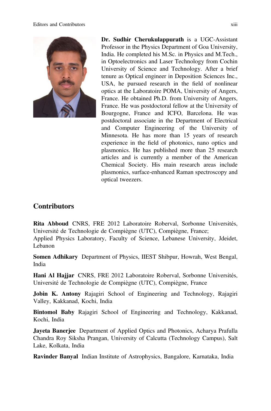

Dr. Sudhir Cherukulappurath is a UGC-Assistant Professor in the Physics Department of Goa University, India. He completed his M.Sc. in Physics and M.Tech., in Optoelectronics and Laser Technology from Cochin University of Science and Technology. After a brief tenure as Optical engineer in Deposition Sciences Inc., USA, he pursued research in the field of nonlinear optics at the Laboratoire POMA, University of Angers, France. He obtained Ph.D. from University of Angers, France. He was postdoctoral fellow at the University of Bourgogne, France and ICFO, Barcelona. He was postdoctoral associate in the Department of Electrical and Computer Engineering of the University of Minnesota. He has more than 15 years of research experience in the field of photonics, nano optics and plasmonics. He has published more than 25 research articles and is currently a member of the American Chemical Society. His main research areas include plasmonics, surface-enhanced Raman spectroscopy and optical tweezers.

### **Contributors**

Rita Abboud CNRS, FRE 2012 Laboratoire Roberval, Sorbonne Universités, Université de Technologie de Compiègne (UTC), Compiègne, France; Applied Physics Laboratory, Faculty of Science, Lebanese University, Jdeidet, Lebanon

Somen Adhikary Department of Physics, IIEST Shibpur, Howrah, West Bengal, India

Hani Al Hajjar CNRS, FRE 2012 Laboratoire Roberval, Sorbonne Universités, Université de Technologie de Compiègne (UTC), Compiègne, France

Jobin K. Antony Rajagiri School of Engineering and Technology, Rajagiri Valley, Kakkanad, Kochi, India

Bintomol Baby Rajagiri School of Engineering and Technology, Kakkanad, Kochi, India

Jayeta Banerjee Department of Applied Optics and Photonics, Acharya Prafulla Chandra Roy Siksha Prangan, University of Calcutta (Technology Campus), Salt Lake, Kolkata, India

Ravinder Banyal Indian Institute of Astrophysics, Bangalore, Karnataka, India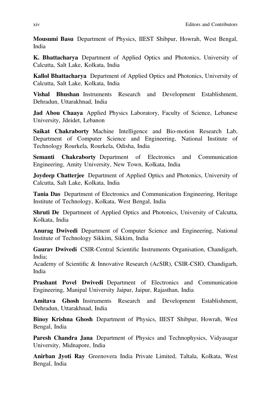Mousumi Basu Department of Physics, IIEST Shibpur, Howrah, West Bengal, India

K. Bhattacharya Department of Applied Optics and Photonics, University of Calcutta, Salt Lake, Kolkata, India

Kallol Bhattacharya Department of Applied Optics and Photonics, University of Calcutta, Salt Lake, Kolkata, India

Vishal Bhushan Instruments Research and Development Establishment, Dehradun, Uttarakhnad, India

Jad Abou Chaaya Applied Physics Laboratory, Faculty of Science, Lebanese University, Jdeidet, Lebanon

Saikat Chakraborty Machine Intelligence and Bio-motion Research Lab, Department of Computer Science and Engineering, National Institute of Technology Rourkela, Rourkela, Odisha, India

Semanti Chakraborty Department of Electronics and Communication Engineering, Amity University, New Town, Kolkata, India

Joydeep Chatterjee Department of Applied Optics and Photonics, University of Calcutta, Salt Lake, Kolkata, India

Tania Das Department of Electronics and Communication Engineering, Heritage Institute of Technology, Kolkata, West Bengal, India

Shruti De Department of Applied Optics and Photonics, University of Calcutta, Kolkata, India

Anurag Dwivedi Department of Computer Science and Engineering, National Institute of Technology Sikkim, Sikkim, India

Gaurav Dwivedi CSIR-Central Scientific Instruments Organisation, Chandigarh, India;

Academy of Scientific & Innovative Research (AcSIR), CSIR-CSIO, Chandigarh, India

Prashant Povel Dwivedi Department of Electronics and Communication Engineering, Manipal University Jaipur, Jaipur, Rajasthan, India

Amitava Ghosh Instruments Research and Development Establishment, Dehradun, Uttarakhnad, India

Binoy Krishna Ghosh Department of Physics, IIEST Shibpur, Howrah, West Bengal, India

Paresh Chandra Jana Department of Physics and Technophysics, Vidyasagar University, Midnapore, India

Anirban Jyoti Ray Greenovera India Private Limited, Taltala, Kolkata, West Bengal, India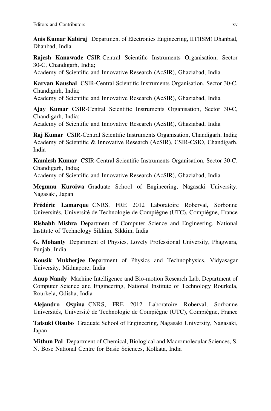Anis Kumar Kabiraj Department of Electronics Engineering, IIT(ISM) Dhanbad, Dhanbad, India

Rajesh Kanawade CSIR-Central Scientific Instruments Organisation, Sector 30-C, Chandigarh, India;

Academy of Scientific and Innovative Research (AcSIR), Ghaziabad, India

Karvan Kaushal CSIR-Central Scientific Instruments Organisation, Sector 30-C, Chandigarh, India;

Academy of Scientific and Innovative Research (AcSIR), Ghaziabad, India

Ajay Kumar CSIR-Central Scientific Instruments Organisation, Sector 30-C, Chandigarh, India;

Academy of Scientific and Innovative Research (AcSIR), Ghaziabad, India

Raj Kumar CSIR-Central Scientific Instruments Organisation, Chandigarh, India; Academy of Scientific & Innovative Research (AcSIR), CSIR-CSIO, Chandigarh, India

Kamlesh Kumar CSIR-Central Scientific Instruments Organisation, Sector 30-C, Chandigarh, India;

Academy of Scientific and Innovative Research (AcSIR), Ghaziabad, India

Megumu Kuroiwa Graduate School of Engineering, Nagasaki University, Nagasaki, Japan

Frédéric Lamarque CNRS, FRE 2012 Laboratoire Roberval, Sorbonne Universités, Université de Technologie de Compiègne (UTC), Compiègne, France

Rishabh Mishra Department of Computer Science and Engineering, National Institute of Technology Sikkim, Sikkim, India

G. Mohanty Department of Physics, Lovely Professional University, Phagwara, Punjab, India

Kousik Mukherjee Department of Physics and Technophysics, Vidyasagar University, Midnapore, India

Anup Nandy Machine Intelligence and Bio-motion Research Lab, Department of Computer Science and Engineering, National Institute of Technology Rourkela, Rourkela, Odisha, India

Alejandro Ospina CNRS, FRE 2012 Laboratoire Roberval, Sorbonne Universités, Université de Technologie de Compiègne (UTC), Compiègne, France

Tatsuki Otsubo Graduate School of Engineering, Nagasaki University, Nagasaki, Japan

Mithun Pal Department of Chemical, Biological and Macromolecular Sciences, S. N. Bose National Centre for Basic Sciences, Kolkata, India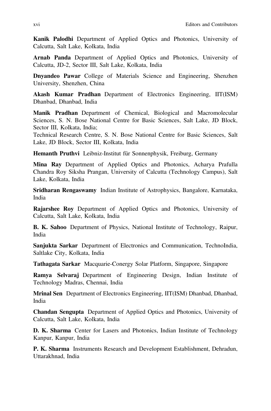Kanik Palodhi Department of Applied Optics and Photonics, University of Calcutta, Salt Lake, Kolkata, India

Arnab Panda Department of Applied Optics and Photonics, University of Calcutta, JD-2, Sector III, Salt Lake, Kolkata, India

Dnyandeo Pawar College of Materials Science and Engineering, Shenzhen University, Shenzhen, China

Akash Kumar Pradhan Department of Electronics Engineering, IIT(ISM) Dhanbad, Dhanbad, India

Manik Pradhan Department of Chemical, Biological and Macromolecular Sciences, S. N. Bose National Centre for Basic Sciences, Salt Lake, JD Block, Sector III, Kolkata, India;

Technical Research Centre, S. N. Bose National Centre for Basic Sciences, Salt Lake, JD Block, Sector III, Kolkata, India

Hemanth Pruthvi Leibniz-Institut für Sonnenphysik, Freiburg, Germany

Mina Ray Department of Applied Optics and Photonics, Acharya Prafulla Chandra Roy Siksha Prangan, University of Calcutta (Technology Campus), Salt Lake, Kolkata, India

Sridharan Rengaswamy Indian Institute of Astrophysics, Bangalore, Karnataka, India

Rajarshee Roy Department of Applied Optics and Photonics, University of Calcutta, Salt Lake, Kolkata, India

B. K. Sahoo Department of Physics, National Institute of Technology, Raipur, India

Sanjukta Sarkar Department of Electronics and Communication, TechnoIndia, Saltlake City, Kolkata, India

Tathagata Sarkar Macquarie-Conergy Solar Platform, Singapore, Singapore

Ramya Selvaraj Department of Engineering Design, Indian Institute of Technology Madras, Chennai, India

Mrinal Sen Department of Electronics Engineering, IIT(ISM) Dhanbad, Dhanbad, India

Chandan Sengupta Department of Applied Optics and Photonics, University of Calcutta, Salt Lake, Kolkata, India

D. K. Sharma Center for Lasers and Photonics, Indian Institute of Technology Kanpur, Kanpur, India

P. K. Sharma Instruments Research and Development Establishment, Dehradun, Uttarakhnad, India